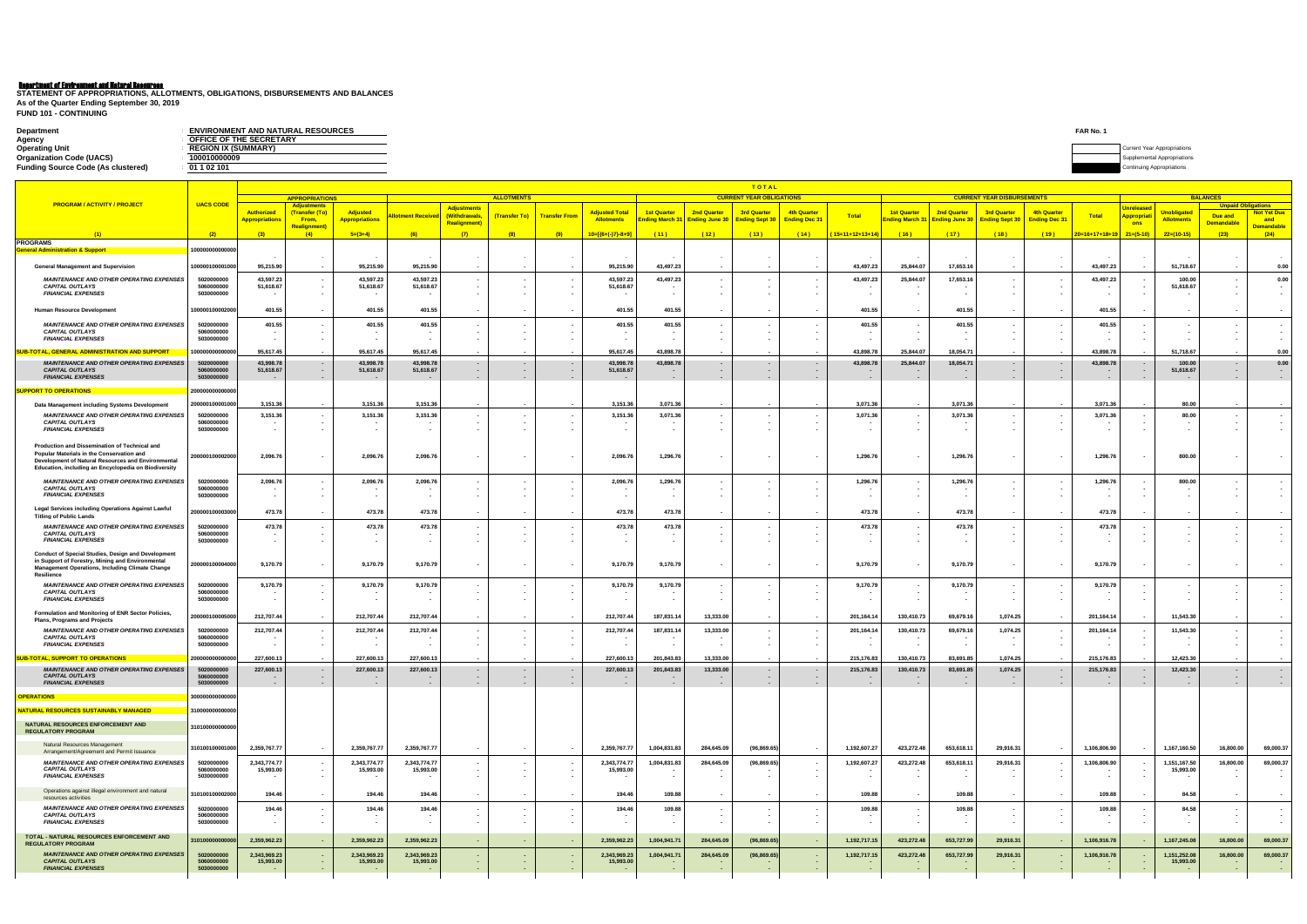## Department of Environment and Natural Resources

| <b>Department</b>                         | <b>ENVIRONMENT AND NATURAL RESOURCES</b> | FAR No. |                           |
|-------------------------------------------|------------------------------------------|---------|---------------------------|
| Agency                                    | OFFICE OF THE SECRETARY                  |         |                           |
| <b>Operating Unit</b>                     | <b>REGION IX (SUMMARY)</b>               |         | Appropriation             |
| <b>Organization Code (UACS)</b>           | 100010000009                             |         |                           |
| <b>Funding Source Code (As clustered)</b> | 01 1 02 101                              |         | Continuing Appropriations |

**FUND 101 - CONTINUING STATEMENT OF APPROPRIATIONS, ALLOTMENTS, OBLIGATIONS, DISBURSEMENTS AND BALANCES As of the Quarter Ending September 30, 2019**

|                                                                                                                                                                                                          |                                        |                                  |                                             |                                  |                                  |                                     |                                    |                      |                                  |                        |                    | <b>TOTAL</b>                         |                      |                                |                                                             |                      |                                   |                    |                                   |                                             |                               |                                              |                                            |
|----------------------------------------------------------------------------------------------------------------------------------------------------------------------------------------------------------|----------------------------------------|----------------------------------|---------------------------------------------|----------------------------------|----------------------------------|-------------------------------------|------------------------------------|----------------------|----------------------------------|------------------------|--------------------|--------------------------------------|----------------------|--------------------------------|-------------------------------------------------------------|----------------------|-----------------------------------|--------------------|-----------------------------------|---------------------------------------------|-------------------------------|----------------------------------------------|--------------------------------------------|
| <b>PROGRAM / ACTIVITY / PROJECT</b>                                                                                                                                                                      | <b>UACS CODE</b>                       |                                  | <b>APPROPRIATIONS</b><br><b>Adjustments</b> |                                  |                                  |                                     | <b>ALLOTMENTS</b>                  |                      |                                  |                        |                    | <b>CURRENT YEAR OBLIGATIONS</b>      |                      |                                |                                                             |                      | <b>CURRENT YEAR DISBURSEMENTS</b> |                    |                                   |                                             |                               | <b>BALANCES</b><br><b>Unpaid Obligations</b> |                                            |
|                                                                                                                                                                                                          |                                        | Authorized                       | (Transfer (To)                              | <b>Adjusted</b>                  | <b>lotment Receive</b>           | <b>Adjustments</b><br>(Withdrawals, | (Transfer To)                      | <b>Transfer From</b> | <b>Adjusted Total</b>            | <b>1st Quarter</b>     | <b>2nd Quarter</b> | <b>3rd Quarter</b>                   | 4th Quarter          | <b>Total</b>                   | <b>1st Quarter</b>                                          | 2nd Quarter          | <b>3rd Quarter</b>                | <b>4th Quarter</b> | <b>Total</b>                      | <b>Unreleased</b><br><mark>Appropria</mark> | <mark>Jnobligate</mark>       | Due and                                      | <b>Not Yet Due</b>                         |
|                                                                                                                                                                                                          |                                        | <mark>Appropriations</mark>      | From,<br><mark>Realignment</mark>           | <b>Appropriations</b>            |                                  | <b>Realignment)</b>                 |                                    |                      | <b>Allotments</b>                | nding March 31         |                    | <b>Ending June 30 Ending Sept 30</b> | <b>Ending Dec 31</b> |                                | Ending March 31 Ending June 30 Ending Sept 30 Ending Dec 31 |                      |                                   |                    |                                   | ons                                         | <b>Allotments</b>             | <u>Demandable</u>                            | and<br>Demandable                          |
| <b>PROGRAMS</b>                                                                                                                                                                                          | (2)                                    | (3)                              | (4)                                         | $5=(3+4)$                        | (6)                              | (7)                                 | (8)                                | (9)                  | $10=[(6+(-)7)-8+9]$              | (11)                   | (12)               | (13)                                 | (14)                 | ( <mark>15=11+12+13+14)</mark> | (16)                                                        | (17)                 | (18)                              | (19)               | $\sqrt{20=16+17+18+19}$ 21=(5-10) |                                             | $22=(10-15)$                  | (23)                                         | (24)                                       |
| <u> General Administration &amp; Support</u>                                                                                                                                                             | 100000000000000                        |                                  |                                             |                                  |                                  |                                     |                                    |                      |                                  |                        |                    |                                      |                      |                                |                                                             |                      |                                   |                    |                                   |                                             |                               |                                              |                                            |
| <b>General Management and Supervision</b>                                                                                                                                                                | 100000100001000                        | 95,215.90                        | $\sim$<br>$\sim$                            | 95,215.90                        | 95,215.90                        |                                     |                                    |                      | 95,215.90                        | 43,497.23              |                    |                                      |                      | 43,497.23                      | 25,844.07                                                   | 17,653.16            |                                   |                    | 43,497.23                         |                                             | 51,718.67                     |                                              | 0.00                                       |
| <b>MAINTENANCE AND OTHER OPERATING EXPENSES</b><br><b>CAPITAL OUTLAYS</b><br><b>FINANCIAL EXPENSES</b>                                                                                                   | 5020000000<br>5060000000<br>5030000000 | 43,597.23<br>51,618.67           | $\sim$<br>$\sim$<br>$\sim$                  | 43,597.23<br>51,618.67<br>$\sim$ | 43,597.23<br>51,618.67           |                                     | $\sim$<br>$\sim$                   |                      | 43,597.23<br>51,618.67           | 43,497.23              |                    |                                      |                      | 43,497.23                      | 25,844.07                                                   | 17,653.16            |                                   |                    | 43,497.23                         |                                             | 100.00<br>51,618.67           | $\sim$                                       | 0.00<br>$\sim$<br>$\overline{\phantom{a}}$ |
| Human Resource Development                                                                                                                                                                               | 10000010000200                         | 401.55                           | $\sim$ $-$                                  | 401.55                           | 401.55                           |                                     | $\overline{\phantom{a}}$           |                      | 401.55                           | 401.55                 |                    |                                      |                      | 401.55                         |                                                             | 401.55               |                                   | $\sim$             | 401.55                            |                                             |                               |                                              |                                            |
| <b>MAINTENANCE AND OTHER OPERATING EXPENSES</b><br><b>CAPITAL OUTLAYS</b><br><b>FINANCIAL EXPENSES</b>                                                                                                   | 5020000000<br>5060000000<br>5030000000 | 401.55                           | $\sim$<br>$\sim$<br>$\sim$                  | 401.55                           | 401.55                           |                                     |                                    |                      | 401.55                           | 401.55                 |                    |                                      |                      | 401.55                         |                                                             | 401.55               |                                   |                    | 401.55                            |                                             |                               |                                              |                                            |
| UB-TOTAL, GENERAL ADMINISTRATION AND SUPPORT                                                                                                                                                             | 1000000000000                          | 95,617.45                        |                                             | 95,617.45                        | 95,617.45                        |                                     |                                    |                      | 95,617.45                        | 43,898.78              |                    |                                      |                      | 43,898.78                      | 25,844.07                                                   | 18,054.71            |                                   |                    | 43,898.78                         |                                             | 51,718.67                     |                                              | 0.00                                       |
| <b>MAINTENANCE AND OTHER OPERATING EXPENSES</b><br><b>CAPITAL OUTLAYS</b><br><b>FINANCIAL EXPENSES</b>                                                                                                   | 5020000000<br>5060000000<br>5030000000 | 43,998.78<br>51,618.67<br>$\sim$ | $\sim$<br>$\sim$<br>$\sim$                  | 43,998.78<br>51,618.67<br>$\sim$ | 43,998.78<br>51,618.67<br>$\sim$ |                                     | $\sim$<br>$\sim$<br>$\sim$         |                      | 43,998.78<br>51,618.67<br>$\sim$ | 43,898.78<br>$\sim$    |                    | $\sim$                               |                      | 43,898.78                      | 25,844.07                                                   | 18,054.71            | $\sim$<br>$\sim$                  |                    | 43,898.78<br>$\sim$               |                                             | 100.00<br>51,618.67<br>$\sim$ | $\sim$<br>$\sim$                             | 0.00<br>$\sim$                             |
| <b>SUPPORT TO OPERATIONS</b>                                                                                                                                                                             | 20000000000000                         |                                  |                                             |                                  |                                  |                                     |                                    |                      |                                  |                        |                    |                                      |                      |                                |                                                             |                      |                                   |                    |                                   |                                             |                               |                                              |                                            |
| Data Management including Systems Development                                                                                                                                                            | 200000100001000                        | 3,151.36                         | $\sim$                                      | 3,151.36                         | 3,151.36                         |                                     |                                    |                      | 3,151.36                         | 3,071.36               |                    |                                      |                      | 3,071.36                       |                                                             | 3,071.36             |                                   |                    | 3,071.36                          |                                             | 80.00                         |                                              |                                            |
| <b>MAINTENANCE AND OTHER OPERATING EXPENSES</b><br><b>CAPITAL OUTLAYS</b><br><b>FINANCIAL EXPENSES</b>                                                                                                   | 5020000000<br>5060000000<br>5030000000 | 3,151.36                         | $\sim$<br>$\sim$<br>$\sim$                  | 3,151.36                         | 3,151.36                         |                                     | $\sim$<br>$\sim$                   |                      | 3,151.36                         | 3,071.36               |                    |                                      |                      | 3,071.36                       |                                                             | 3,071.36             | $\sim$                            | $\sim$             | 3,071.36<br>$\sim$                |                                             | 80.00                         | $\sim$<br>$\sim$                             |                                            |
| Production and Dissemination of Technical and<br>Popular Materials in the Conservation and<br>Development of Natural Resources and Environmental<br>Education, including an Encyclopedia on Biodiversity | 200000100002000                        | 2,096.76                         | $\sim$                                      | 2,096.76                         | 2,096.76                         |                                     |                                    |                      | 2,096.76                         | 1,296.76               |                    |                                      |                      | 1,296.76                       |                                                             | 1,296.76             | $\sim$                            | $\sim$             | 1,296.76                          |                                             | 800.00                        |                                              |                                            |
| <b>MAINTENANCE AND OTHER OPERATING EXPENSES</b><br><b>CAPITAL OUTLAYS</b><br><b>FINANCIAL EXPENSES</b>                                                                                                   | 5020000000<br>5060000000<br>5030000000 | 2,096.76                         | $\sim$<br>$\sim$<br>$\sim$                  | 2,096.76<br>$\sim$               | 2,096.76                         |                                     | $\sim$                             |                      | 2,096.76                         | 1,296.7<br>$\sim$      |                    |                                      |                      | 1,296.7                        |                                                             | 1,296.76<br>$\sim$   |                                   | $\sim$<br>$\sim$   | 1,296.76<br>$\sim$<br>$\sim$      |                                             | 800.00                        | $\sim$                                       |                                            |
| Legal Services including Operations Against Lawful<br><b>Titling of Public Lands</b>                                                                                                                     | 200000100003000                        | 473.78                           | $\sim$                                      | 473.78                           | 473.78                           |                                     |                                    |                      | 473.78                           | 473.78                 |                    |                                      |                      | 473.78                         |                                                             | 473.78               |                                   |                    | 473.78                            |                                             |                               |                                              |                                            |
| <b>MAINTENANCE AND OTHER OPERATING EXPENSES</b><br><b>CAPITAL OUTLAYS</b><br><b>FINANCIAL EXPENSES</b>                                                                                                   | 5020000000<br>5060000000<br>5030000000 | 473.78                           | $\sim$<br>$\sim$                            | 473.78                           | 473.78                           |                                     | $\sim$<br>$\sim$                   |                      | 473.78                           | 473.78                 |                    |                                      |                      | 473.78                         |                                                             | 473.78               |                                   |                    | 473.78<br>$\sim$                  |                                             |                               | $\overline{\phantom{a}}$                     |                                            |
| Conduct of Special Studies, Design and Development<br>in Support of Forestry, Mining and Environmental<br>Management Operations, Including Climate Change<br>Resilience                                  | 200000100004000                        | 9,170.79                         | $\sim$                                      | 9,170.79                         | 9,170.79                         |                                     |                                    |                      | 9,170.79                         | 9,170.79               |                    |                                      |                      | 9,170.79                       |                                                             | 9,170.79             |                                   |                    | 9,170.79                          |                                             |                               |                                              |                                            |
| <b>MAINTENANCE AND OTHER OPERATING EXPENSES</b><br><b>CAPITAL OUTLAYS</b><br><b>FINANCIAL EXPENSES</b>                                                                                                   | 5020000000<br>5060000000<br>5030000000 | 9,170.79                         | $\sim$<br>$\sim$                            | 9,170.79<br>$\sim$               | 9,170.79                         |                                     | $\sim$<br>$\sim$                   |                      | 9,170.79                         | 9,170.79<br>$\sim$     |                    |                                      |                      | 9,170.79                       |                                                             | 9,170.79<br>$\sim$   |                                   |                    | 9,170.79<br>$\sim$                |                                             |                               |                                              |                                            |
| Formulation and Monitoring of ENR Sector Policies,<br>Plans, Programs and Projects                                                                                                                       | 200000100005000                        | 212,707.44                       | $\sim$ $-$                                  | 212,707.44                       | 212,707.44                       |                                     | $\sim$                             |                      | 212,707.44                       | 187,831.14             | 13,333.00          |                                      |                      | 201,164.1                      | 130,410.73                                                  | 69,679.16            | 1,074.25                          |                    | 201,164.1                         |                                             | 11,543.30                     |                                              |                                            |
| <b>MAINTENANCE AND OTHER OPERATING EXPENSES</b><br><b>CAPITAL OUTLAYS</b><br><b>FINANCIAL EXPENSES</b>                                                                                                   | 5020000000<br>5060000000<br>5030000000 | 212,707.44                       |                                             | 212,707.44                       | 212,707.44                       |                                     |                                    |                      | 212,707.44                       | 187,831.14             | 13,333.00          |                                      |                      | 201,164.14                     | 130,410.73                                                  | 69,679.16            | 1,074.25                          |                    | 201,164.14                        |                                             | 11,543.30                     |                                              |                                            |
| SUB-TOTAL, SUPPORT TO OPERATIONS                                                                                                                                                                         | 2000000000000                          | 227,600.13                       |                                             | 227,600.1                        | 227,600.13                       |                                     |                                    |                      | 227,600.13                       | 201,843.83             | 13,333.00          |                                      |                      | 215,176.83                     | 130,410.73                                                  | 83,691.85            | 1,074.25                          |                    | 215,176.83                        |                                             | 12,423.30                     |                                              |                                            |
| <b>MAINTENANCE AND OTHER OPERATING EXPENSES</b><br><b>CAPITAL OUTLAYS</b><br><b>FINANCIAL EXPENSES</b>                                                                                                   | 5020000000<br>5060000000<br>5030000000 | 227,600.13<br>$\sim$<br>$\sim$   | $\sim$<br>$\sim$                            | 227,600.13<br>$\sim$             | 227,600.13<br>$\sim$             |                                     | $\sim$<br>$\sim$                   | $\sim$               | 227,600.13                       | 201,843.83<br>$\sim$   | 13,333.00          | $\sim$<br>$\sim$                     |                      | 215,176.83                     | 130,410.73                                                  | 83,691.85            | 1,074.25                          |                    | 215,176.83<br>$\sim$              | $\sim$ $-$                                  | 12,423.30<br>$\sim$<br>$\sim$ | $\sim$<br>$\sim$                             | $\sim$                                     |
| <b>OPERATIONS</b>                                                                                                                                                                                        | 300000000000000                        |                                  |                                             |                                  |                                  |                                     |                                    |                      |                                  |                        |                    |                                      |                      |                                |                                                             |                      |                                   |                    |                                   |                                             |                               |                                              |                                            |
| NATURAL RESOURCES SUSTAINABLY MANAGED                                                                                                                                                                    | 310000000000000                        |                                  |                                             |                                  |                                  |                                     |                                    |                      |                                  |                        |                    |                                      |                      |                                |                                                             |                      |                                   |                    |                                   |                                             |                               |                                              |                                            |
| NATURAL RESOURCES ENFORCEMENT AND<br><b>REGULATORY PROGRAM</b>                                                                                                                                           | 310100000000000                        |                                  |                                             |                                  |                                  |                                     |                                    |                      |                                  |                        |                    |                                      |                      |                                |                                                             |                      |                                   |                    |                                   |                                             |                               |                                              |                                            |
| Natural Resources Management<br>Arrangement/Agreement and Permit Issuance                                                                                                                                | 310100100001000                        | 2,359,767.77                     | $\sim$ $-$                                  | 2,359,767.77                     | 2,359,767.77                     | $\sim$                              | $\sim$                             |                      | 2,359,767.77                     | 1,004,831.83           | 284,645.09         | (96, 869.65)                         |                      | 1,192,607.27                   | 423,272.48                                                  | 653,618.11           | 29,916.31                         | $\sim$             | 1,106,806.90                      |                                             | 1,167,160.50                  | 16,800.00                                    | 69,000.37                                  |
| <b>MAINTENANCE AND OTHER OPERATING EXPENSES</b><br><b>CAPITAL OUTLAYS</b><br><b>FINANCIAL EXPENSES</b>                                                                                                   | 5020000000<br>5060000000<br>5030000000 | 2,343,774.77<br>15,993.00        | $\sim$ $-$<br>$\sim 10^{-1}$<br>$\sim$ $-$  | 2,343,774.77<br>15,993.00        | 2,343,774.77<br>15,993.00        |                                     | $\sim$<br>$\sim$ $-$<br>$\sim$     |                      | 2,343,774.77<br>15,993.00        | 1,004,831.83<br>$\sim$ | 284,645.09         | (96,869.65)                          |                      | 1,192,607.27                   | 423,272.48                                                  | 653,618.11<br>$\sim$ | 29,916.31                         | $\sim$             | 1,106,806.90                      |                                             | 1,151,167.50<br>15,993.00     | 16,800.00<br>$\sim$                          | 69,000.37                                  |
| Operations against illegal environment and natural<br>resources activities                                                                                                                               | 310100100002000                        | 194.46                           | $\sim$ $-$                                  | 194.46                           | 194.46                           |                                     | $\sim$                             |                      | 194.46                           | 109.88                 |                    |                                      |                      | 109.88                         |                                                             | 109.88               | $\sim$                            | $\sim$             | 109.88                            |                                             | 84.58                         | $\sim$                                       | $\overline{\phantom{a}}$                   |
| <b>MAINTENANCE AND OTHER OPERATING EXPENSES</b><br><b>CAPITAL OUTLAYS</b><br><b>FINANCIAL EXPENSES</b>                                                                                                   | 5020000000<br>5060000000<br>5030000000 | 194.46                           | $\sim$<br>$\sim$<br>$\sim$                  | 194.46<br>$\sim$                 | 194.46                           |                                     | $\sim$<br>$\sim$<br>$\sim$         |                      | 194.46                           | 109.88                 |                    |                                      |                      | 109.88                         |                                                             | 109.88               | $\sim$                            |                    | 109.88                            |                                             | 84.58                         | $\sim$<br>$\sim$                             |                                            |
| TOTAL - NATURAL RESOURCES ENFORCEMENT AND<br><b>REGULATORY PROGRAM</b>                                                                                                                                   | 3101000000000                          | 2,359,962.23                     | $\sim$ 100 $\pm$                            | 2,359,962.23                     | 2,359,962.23                     |                                     | $\sim$                             | . .                  | 2,359,962.23                     | 1,004,941.71           | 284,645.09         | (96, 869.65)                         |                      | 1,192,717.15                   | 423,272.48                                                  | 653,727.99           | 29,916.31                         |                    | 1,106,916.78                      |                                             | 1,167,245.08                  | 16,800.00                                    | 69,000.37                                  |
| <b>MAINTENANCE AND OTHER OPERATING EXPENSES</b><br><b>CAPITAL OUTLAYS</b><br><b>FINANCIAL EXPENSES</b>                                                                                                   | 5020000000<br>5060000000<br>5030000000 | 2,343,969.23<br>15,993.00        | $\sim$<br>$\sim$                            | 2,343,969.23<br>15,993.00        | 2,343,969.23<br>15,993.00        |                                     | $\sim$<br>$\sim 10^{-1}$<br>$\sim$ |                      | 2,343,969.23<br>15,993.00        | 1,004,941.71           | 284,645.09         | (96, 869.65)                         |                      | 1,192,717.15                   | 423,272.48                                                  | 653,727.99           | 29,916.31                         |                    | 1,106,916.78                      |                                             | 1,151,252.08<br>15,993.00     | 16,800.00<br>$\sim$                          | 69,000.37                                  |
|                                                                                                                                                                                                          |                                        |                                  |                                             |                                  |                                  |                                     |                                    |                      |                                  |                        |                    |                                      |                      |                                |                                                             |                      |                                   |                    |                                   |                                             |                               |                                              |                                            |

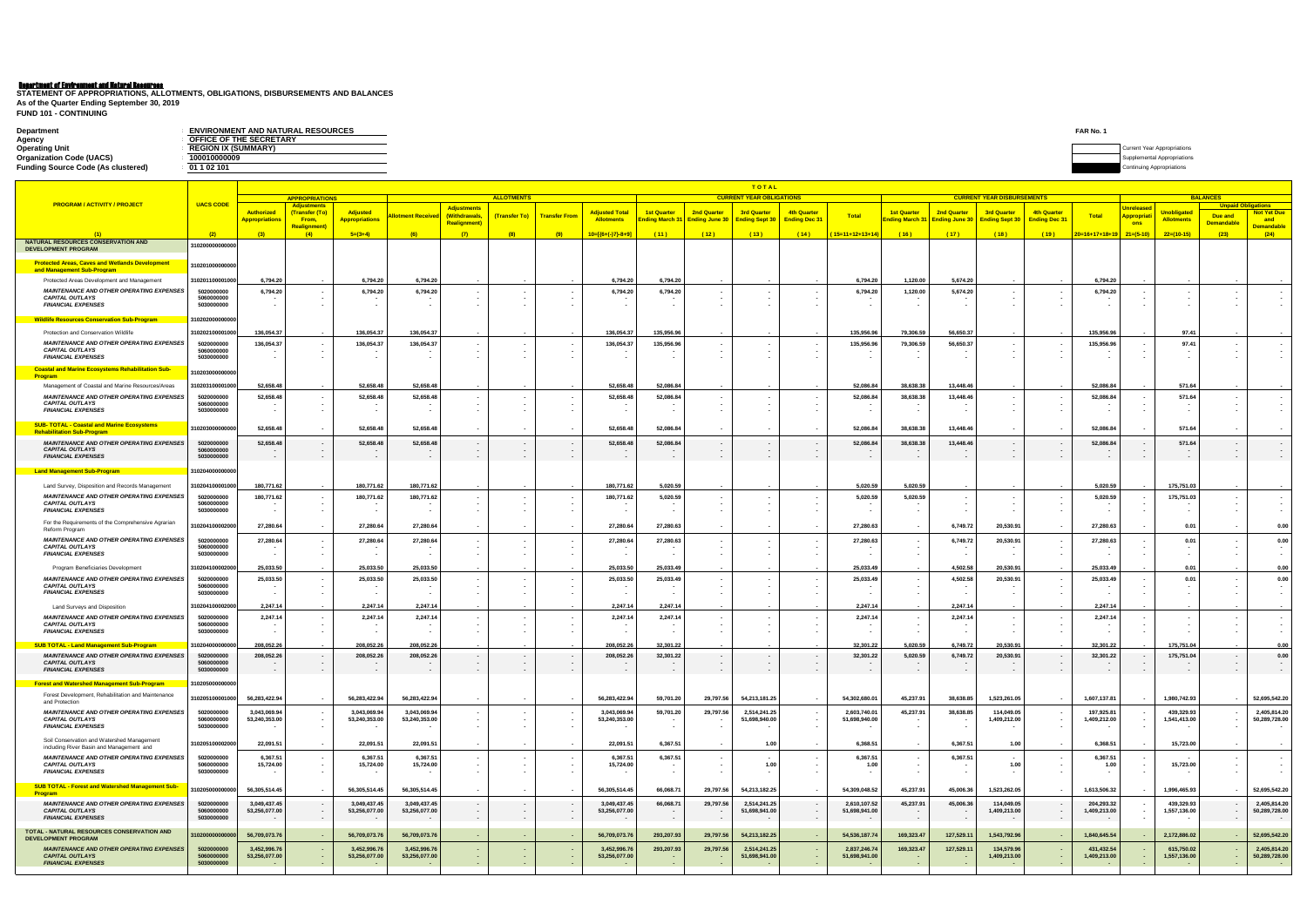## Department of Environment and Natural Resources

| Department                                | <b>ENVIRONMENT AND NATURAL RESOURCES</b> | FAR No. |                           |
|-------------------------------------------|------------------------------------------|---------|---------------------------|
| Agency                                    | OFFICE OF THE SECRETARY                  |         |                           |
| <b>Operating Unit</b>                     | <b>REGION IX (SUMMARY)</b>               |         | ar Appropriations         |
| <b>Organization Code (UACS)</b>           | 100010000009                             |         |                           |
| <b>Funding Source Code (As clustered)</b> | 01 1 02 101                              |         | Continuing Appropriations |
|                                           |                                          |         |                           |

**FUND 101 - CONTINUING STATEMENT OF APPROPRIATIONS, ALLOTMENTS, OBLIGATIONS, DISBURSEMENTS AND BALANCES As of the Quarter Ending September 30, 2019**

|                                                                                       |                          |                                            | <b>TOTAL</b><br><b>ALLOTMENTS</b><br><b>CURRENT YEAR OBLIGATIONS</b><br><b>CURRENT YEAR DISBURSEMENTS</b><br><b>APPROPRIATIONS</b> |                                          |                               |                              |               |                      |                                            |                                      |                          |                                                     |                                            |                               |                                              |                                      |                                             | <b>BALANCES</b>                     |                             |                                            |                                         |                           |                               |
|---------------------------------------------------------------------------------------|--------------------------|--------------------------------------------|------------------------------------------------------------------------------------------------------------------------------------|------------------------------------------|-------------------------------|------------------------------|---------------|----------------------|--------------------------------------------|--------------------------------------|--------------------------|-----------------------------------------------------|--------------------------------------------|-------------------------------|----------------------------------------------|--------------------------------------|---------------------------------------------|-------------------------------------|-----------------------------|--------------------------------------------|-----------------------------------------|---------------------------|-------------------------------|
| <b>PROGRAM / ACTIVITY / PROJECT</b>                                                   | <b>UACS CODE</b>         |                                            | Adjustments                                                                                                                        |                                          |                               |                              |               |                      |                                            |                                      |                          |                                                     |                                            |                               |                                              |                                      |                                             |                                     |                             |                                            |                                         | <b>Unpaid Obligations</b> |                               |
|                                                                                       |                          | <b>Authorized</b><br><b>Appropriations</b> | (Transfer (To<br>From,                                                                                                             | <b>Adjusted</b><br><b>Appropriations</b> | <b>Ilotment Received</b>      | Adjustments<br>(Withdrawals, | (Transfer To) | <b>Transfer From</b> | <b>Adjusted Total</b><br><b>Allotments</b> | <b>1st Quarter</b><br>Ending March 3 | 2nd Quarter              | <b>3rd Quarter</b><br>Ending June 30 Ending Sept 30 | <b>4th Quarter</b><br><b>Ending Dec 31</b> | <b>Total</b>                  | <b>1st Quarter</b><br><b>Ending March 31</b> | 2nd Quarter<br><b>Ending June 30</b> | <b>3rd Quarter</b><br><b>Ending Sept 30</b> | 4th Quarter<br><b>Ending Dec 31</b> | Total                       | <b>Unrelease</b><br><mark>Appropria</mark> | <u>Jnobligated</u><br><b>Allotments</b> | Due and                   | <b>Not Yet Due</b><br>and     |
|                                                                                       |                          |                                            | <b>Realignment</b>                                                                                                                 |                                          |                               | <b>Realignment)</b>          |               |                      |                                            |                                      |                          |                                                     |                                            |                               |                                              |                                      |                                             |                                     |                             | ons                                        |                                         | <b>Demandable</b>         | <b>Demandable</b>             |
| NATURAL RESOURCES CONSERVATION AND                                                    | (2)                      | (3)                                        | (4)                                                                                                                                | $5=(3+4)$                                | (6)                           | (7)                          | (8)           | (9)                  | $10=[(6+(-)7)-8+9]$                        | (11)                                 | (12)                     | (13)                                                | (14)                                       | $(15=11+12+13+14)$            | (16)                                         | (17)                                 | (18)                                        | (19)                                | $120=16+17+18+19$ 21=(5-10) |                                            | $22=(10-15)$                            | (23)                      | (24)                          |
| <b>DEVELOPMENT PROGRAM</b>                                                            | 310200000000000          |                                            |                                                                                                                                    |                                          |                               |                              |               |                      |                                            |                                      |                          |                                                     |                                            |                               |                                              |                                      |                                             |                                     |                             |                                            |                                         |                           |                               |
| <b>Protected Areas, Caves and Wetlands Development</b>                                | 310201000000000          |                                            |                                                                                                                                    |                                          |                               |                              |               |                      |                                            |                                      |                          |                                                     |                                            |                               |                                              |                                      |                                             |                                     |                             |                                            |                                         |                           |                               |
| and Management Sub-Program                                                            |                          |                                            |                                                                                                                                    |                                          |                               |                              |               |                      |                                            |                                      |                          |                                                     |                                            |                               |                                              |                                      |                                             |                                     |                             |                                            |                                         |                           |                               |
| Protected Areas Development and Management                                            | 310201100001000          | 6,794.20                                   |                                                                                                                                    | 6,794.20                                 | 6,794.20                      |                              |               |                      | 6,794.20                                   | 6,794.20                             |                          |                                                     |                                            | 6,794.20                      | 1,120.00                                     | 5,674.20                             |                                             |                                     | 6,794.20                    |                                            |                                         |                           |                               |
| <b>MAINTENANCE AND OTHER OPERATING EXPENSES</b><br><b>CAPITAL OUTLAYS</b>             | 5020000000<br>5060000000 | 6,794.20                                   |                                                                                                                                    | 6,794.20                                 | 6,794.20                      |                              |               |                      | 6,794.20                                   | 6,794.20                             |                          |                                                     |                                            | 6,794.20                      | 1,120.00                                     | 5,674.20                             |                                             |                                     | 6,794.20                    |                                            |                                         |                           |                               |
| <b>FINANCIAL EXPENSES</b>                                                             | 5030000000               |                                            |                                                                                                                                    |                                          |                               |                              |               |                      |                                            |                                      |                          |                                                     |                                            |                               |                                              |                                      |                                             |                                     |                             |                                            |                                         |                           |                               |
| <b>Wildlife Resources Conservation Sub-Program</b>                                    | 310202000000000          |                                            |                                                                                                                                    |                                          |                               |                              |               |                      |                                            |                                      |                          |                                                     |                                            |                               |                                              |                                      |                                             |                                     |                             |                                            |                                         |                           |                               |
| Protection and Conservation Wildlife                                                  | 310202100001000          | 136,054.37                                 |                                                                                                                                    | 136,054.37                               | 136,054.37                    |                              |               |                      | 136,054.37                                 | 135,956.96                           |                          |                                                     |                                            | 135,956.96                    | 79,306.59                                    | 56,650.37                            |                                             |                                     | 135,956.9                   |                                            | 97.41                                   |                           |                               |
| <b>MAINTENANCE AND OTHER OPERATING EXPENSES</b>                                       | 5020000000               | 136,054.37                                 |                                                                                                                                    | 136,054.37                               | 136,054.37                    |                              |               |                      | 136,054.37                                 | 135,956.96                           |                          |                                                     |                                            | 135,956.96                    | 79,306.59                                    | 56,650.37                            |                                             |                                     | 135,956.96                  |                                            | 97.41                                   |                           |                               |
| <b>CAPITAL OUTLAYS</b><br><b>FINANCIAL EXPENSES</b>                                   | 5060000000<br>5030000000 |                                            |                                                                                                                                    |                                          |                               |                              |               |                      |                                            |                                      |                          |                                                     |                                            |                               |                                              |                                      |                                             |                                     |                             |                                            |                                         |                           |                               |
| <b>Coastal and Marine Ecosystems Rehabilitation Sub-</b>                              | 310203000000000          |                                            |                                                                                                                                    |                                          |                               |                              |               |                      |                                            |                                      |                          |                                                     |                                            |                               |                                              |                                      |                                             |                                     |                             |                                            |                                         |                           |                               |
| <u>Program</u>                                                                        |                          |                                            |                                                                                                                                    |                                          |                               |                              |               |                      |                                            |                                      |                          |                                                     |                                            |                               |                                              |                                      |                                             |                                     |                             |                                            |                                         |                           |                               |
| Management of Coastal and Marine Resources/Areas                                      | 10203100001000           | 52,658.48                                  |                                                                                                                                    | 52,658.48                                | 52,658.48                     |                              |               |                      | 52,658.48                                  | 52,086.84                            |                          |                                                     |                                            | 52,086.84                     | 38,638.38                                    | 13,448.46                            |                                             |                                     | 52,086.84                   |                                            | 571.64                                  |                           |                               |
| <b>MAINTENANCE AND OTHER OPERATING EXPENSES</b><br><b>CAPITAL OUTLAYS</b>             | 5020000000<br>5060000000 | 52,658.48                                  |                                                                                                                                    | 52,658.48                                | 52,658.48                     |                              |               |                      | 52,658.48                                  | 52,086.84                            |                          |                                                     |                                            | 52,086.84                     | 38,638.38                                    | 13,448.46                            |                                             |                                     | 52,086.84                   |                                            | 571.64                                  |                           |                               |
| <b>FINANCIAL EXPENSES</b>                                                             | 5030000000               |                                            |                                                                                                                                    |                                          |                               |                              |               |                      |                                            |                                      |                          |                                                     |                                            |                               |                                              |                                      |                                             |                                     |                             |                                            |                                         |                           |                               |
| <b>SUB-TOTAL - Coastal and Marine Ecosystems</b><br><b>Rehabilitation Sub-Program</b> | 310203000000000          | 52,658.48                                  |                                                                                                                                    | 52,658.48                                | 52,658.48                     |                              |               |                      | 52,658.48                                  | 52,086.84                            |                          |                                                     |                                            | 52,086.84                     | 38,638.38                                    | 13,448.46                            | $\overline{\phantom{a}}$                    |                                     | 52,086.84                   |                                            | 571.64                                  |                           |                               |
| <b>MAINTENANCE AND OTHER OPERATING EXPENSES</b>                                       | 5020000000               | 52,658.48                                  |                                                                                                                                    | 52,658.48                                | 52,658.48                     |                              |               |                      | 52,658.48                                  | 52,086.84                            | $\sim$                   |                                                     |                                            | 52,086.84                     | 38,638.38                                    | 13,448.46                            | $\sim$                                      |                                     | 52,086.84                   |                                            | 571.64                                  |                           |                               |
| <b>CAPITAL OUTLAYS</b>                                                                | 5060000000               |                                            |                                                                                                                                    |                                          |                               |                              |               |                      |                                            |                                      |                          |                                                     |                                            |                               |                                              |                                      |                                             |                                     |                             |                                            |                                         |                           |                               |
| <b>FINANCIAL EXPENSES</b>                                                             | 5030000000               |                                            | $\sim$                                                                                                                             |                                          |                               |                              |               |                      |                                            | $\sim$                               |                          |                                                     |                                            |                               |                                              |                                      | $\sim$                                      |                                     |                             |                                            |                                         |                           |                               |
| <b>Land Management Sub-Program</b>                                                    | 310204000000000          |                                            |                                                                                                                                    |                                          |                               |                              |               |                      |                                            |                                      |                          |                                                     |                                            |                               |                                              |                                      |                                             |                                     |                             |                                            |                                         |                           |                               |
| Land Survey, Disposition and Records Management                                       | 310204100001000          | 180,771.62                                 |                                                                                                                                    | 180,771.62                               | 180,771.62                    |                              |               |                      | 180,771.62                                 | 5,020.59                             |                          |                                                     |                                            | 5,020.59                      | 5,020.59                                     |                                      |                                             |                                     | 5,020.59                    |                                            | 175,751.03                              |                           |                               |
| <b>MAINTENANCE AND OTHER OPERATING EXPENSES</b><br><b>CAPITAL OUTLAYS</b>             | 5020000000<br>5060000000 | 180,771.62                                 |                                                                                                                                    | 180,771.62                               | 180,771.62                    |                              |               |                      | 180,771.6                                  | 5,020.59                             |                          |                                                     |                                            | 5,020.59                      | 5,020.59                                     |                                      |                                             |                                     | 5,020.59                    |                                            | 175,751.03                              |                           |                               |
| <b>FINANCIAL EXPENSES</b>                                                             | 5030000000               |                                            |                                                                                                                                    |                                          |                               |                              |               |                      |                                            | $\sim$                               |                          |                                                     |                                            |                               |                                              |                                      | $\sim$                                      |                                     |                             |                                            |                                         |                           |                               |
| For the Requirements of the Comprehensive Agrarian                                    | 10204100002000           | 27,280.64                                  |                                                                                                                                    | 27,280.64                                | 27,280.64                     |                              |               |                      | 27,280.64                                  | 27,280.63                            |                          |                                                     |                                            | 27,280.63                     |                                              | 6,749.72                             | 20,530.91                                   |                                     | 27,280.63                   |                                            | 0.01                                    |                           | 0.00                          |
| Reform Program                                                                        |                          |                                            |                                                                                                                                    |                                          |                               |                              |               |                      |                                            |                                      |                          |                                                     |                                            |                               |                                              |                                      |                                             |                                     |                             |                                            |                                         |                           |                               |
| <b>MAINTENANCE AND OTHER OPERATING EXPENSES</b><br><b>CAPITAL OUTLAYS</b>             | 5020000000<br>5060000000 | 27,280.64                                  |                                                                                                                                    | 27,280.64                                | 27,280.64                     |                              |               |                      | 27,280.64                                  | 27,280.63                            |                          |                                                     |                                            | 27,280.63                     |                                              | 6,749.72                             | 20,530.91                                   |                                     | 27,280.63                   |                                            | 0.01                                    |                           | 0.00                          |
| <b>FINANCIAL EXPENSES</b>                                                             | 5030000000               |                                            |                                                                                                                                    |                                          |                               |                              |               |                      |                                            | $\sim$                               |                          |                                                     |                                            |                               |                                              |                                      | $\overline{\phantom{a}}$                    |                                     |                             |                                            |                                         |                           |                               |
| Program Beneficiaries Development                                                     | 10204100002000           | 25,033.50                                  |                                                                                                                                    | 25,033.50                                | 25,033.50                     |                              |               |                      | 25,033.50                                  | 25,033.49                            |                          |                                                     |                                            | 25,033.49                     |                                              | 4,502.58                             | 20,530.91                                   |                                     | 25,033.49                   |                                            | 0.01                                    |                           | 0.00                          |
| <b>MAINTENANCE AND OTHER OPERATING EXPENSES</b><br><b>CAPITAL OUTLAYS</b>             | 5020000000<br>5060000000 | 25,033.50                                  |                                                                                                                                    | 25,033.50                                | 25,033.50                     |                              |               |                      | 25,033.50                                  | 25,033.49                            |                          |                                                     |                                            | 25,033.49                     |                                              | 4,502.58                             | 20,530.91                                   |                                     | 25,033.49                   |                                            | 0.01                                    |                           | 0.00                          |
| <b>FINANCIAL EXPENSES</b>                                                             | 5030000000               |                                            |                                                                                                                                    |                                          | ٠.                            |                              |               |                      |                                            | $\sim$                               |                          |                                                     |                                            |                               |                                              |                                      | $\sim$                                      |                                     |                             |                                            |                                         |                           |                               |
| Land Surveys and Disposition                                                          | 310204100002000          | 2,247.14                                   |                                                                                                                                    | 2,247.14                                 | 2,247.14                      |                              |               |                      | 2,247.14                                   | 2,247.14                             |                          |                                                     |                                            | 2.247.14                      |                                              | 2.247.14                             |                                             |                                     | 2.247.14                    |                                            |                                         |                           |                               |
| <b>MAINTENANCE AND OTHER OPERATING EXPENSES</b>                                       | 5020000000               | 2,247.14                                   |                                                                                                                                    | 2,247.14                                 | 2,247.14                      |                              |               |                      | 2,247.14                                   | 2,247.14                             |                          |                                                     |                                            | 2,247.14                      |                                              | 2,247.14                             | $\sim$                                      |                                     | 2,247.14                    |                                            |                                         |                           |                               |
| <b>CAPITAL OUTLAYS</b><br><b>FINANCIAL EXPENSES</b>                                   | 5060000000<br>5030000000 |                                            |                                                                                                                                    |                                          |                               |                              |               |                      |                                            | $\overline{\phantom{a}}$             |                          |                                                     |                                            |                               |                                              |                                      | $\sim$                                      |                                     |                             |                                            |                                         |                           |                               |
| <b>SUB TOTAL - Land Management Sub-Program</b>                                        | 1020400000000            | 208,052.26                                 |                                                                                                                                    | 208,052.26                               | 208,052.26                    |                              |               |                      | 208,052.26                                 | 32,301.22                            |                          |                                                     |                                            | 32,301.22                     | 5,020.59                                     | 6,749.72                             | 20,530.91                                   |                                     | 32,301.22                   |                                            | 175,751.04                              |                           | 0.00                          |
| <b>MAINTENANCE AND OTHER OPERATING EXPENSES</b>                                       | 5020000000               | 208,052.26                                 |                                                                                                                                    | 208,052.26                               | 208,052.26                    |                              |               |                      | 208,052.26                                 | 32,301.22                            | $\blacksquare$           |                                                     |                                            | 32,301.22                     | 5,020.59                                     | 6,749.72                             | 20,530.91                                   |                                     | 32,301.22                   |                                            | 175,751.04                              |                           | 0.00                          |
| <b>CAPITAL OUTLAYS</b><br><b>FINANCIAL EXPENSES</b>                                   | 5060000000<br>5030000000 |                                            |                                                                                                                                    |                                          |                               |                              |               |                      |                                            |                                      |                          |                                                     |                                            |                               |                                              |                                      |                                             |                                     |                             |                                            |                                         |                           |                               |
| <b>Forest and Watershed Management Sub-Program</b>                                    | 310205000000000          |                                            |                                                                                                                                    |                                          |                               |                              |               |                      |                                            |                                      |                          |                                                     |                                            |                               |                                              |                                      |                                             |                                     |                             |                                            |                                         |                           |                               |
| Forest Development, Rehabilitation and Maintenance                                    |                          |                                            |                                                                                                                                    |                                          |                               |                              |               |                      |                                            |                                      |                          |                                                     |                                            |                               |                                              |                                      |                                             |                                     |                             |                                            |                                         |                           |                               |
| and Protection                                                                        | 310205100001000          | 56,283,422.94                              |                                                                                                                                    | 56,283,422.94                            | 56,283,422.94                 |                              |               |                      | 56,283,422.94                              | 59,701.20                            | 29,797.56                | 54,213,181.25                                       |                                            | 54,302,680.01                 | 45,237.91                                    | 38,638.85                            | 1,523,261.05                                |                                     | 1,607,137.81                |                                            | 1,980,742.93                            |                           | 52,695,542.20                 |
| <b>MAINTENANCE AND OTHER OPERATING EXPENSES</b><br><b>CAPITAL OUTLAYS</b>             | 5020000000<br>5060000000 | 3,043,069.94<br>53,240,353.00              |                                                                                                                                    | 3,043,069.94<br>53,240,353.00            | 3,043,069.94<br>53,240,353.00 |                              |               |                      | 3,043,069.94<br>53,240,353.00              | 59,701.20                            | 29,797.56                | 2,514,241.25<br>51,698,940.00                       |                                            | 2,603,740.01<br>51,698,940.00 | 45,237.91                                    | 38,638.85                            | 114,049.05<br>1,409,212.00                  |                                     | 197,925.81<br>1,409,212.00  |                                            | 439,329.93<br>1,541,413.00              |                           | 2,405,814.20<br>50,289,728.00 |
| <b>FINANCIAL EXPENSES</b>                                                             | 5030000000               |                                            |                                                                                                                                    |                                          |                               |                              |               |                      |                                            |                                      |                          |                                                     |                                            |                               |                                              |                                      |                                             |                                     |                             |                                            |                                         |                           |                               |
| Soil Conservation and Watershed Management                                            | 310205100002000          | 22,091.51                                  |                                                                                                                                    | 22,091.51                                | 22,091.51                     |                              |               |                      | 22,091.51                                  | 6,367.51                             |                          | 1.00                                                |                                            | 6,368.51                      |                                              | 6,367.51                             | 1.00                                        |                                     | 6,368.51                    |                                            | 15,723.00                               |                           |                               |
| including River Basin and Management and                                              |                          |                                            |                                                                                                                                    |                                          |                               |                              |               |                      |                                            |                                      |                          |                                                     |                                            |                               |                                              |                                      |                                             |                                     |                             |                                            |                                         |                           |                               |
| <b>MAINTENANCE AND OTHER OPERATING EXPENSES</b><br><b>CAPITAL OUTLAYS</b>             | 5020000000<br>5060000000 | 6,367.51<br>15,724.00                      | $\sim$                                                                                                                             | 6,367.51<br>15,724.00                    | 6,367.51<br>15,724.00         |                              |               |                      | 6,367.51<br>15,724.00                      | 6,367.51                             | $\sim$                   | 1.00                                                |                                            | 6,367.51<br>1.00              |                                              | 6,367.51                             | 1.00                                        |                                     | 6,367.51<br>1.00            |                                            | 15,723.00                               |                           |                               |
| <b>FINANCIAL EXPENSES</b>                                                             | 5030000000               |                                            | $\sim$                                                                                                                             |                                          |                               |                              |               |                      |                                            | $\sim$                               | $\overline{\phantom{a}}$ |                                                     |                                            |                               | $\overline{\phantom{a}}$                     |                                      |                                             |                                     |                             |                                            |                                         |                           |                               |
| <b>SUB TOTAL - Forest and Watershed Management Sub-</b>                               | 310205000000000          | 56,305,514.45                              |                                                                                                                                    | 56,305,514.45                            | 56,305,514.45                 |                              |               |                      | 56,305,514.45                              | 66,068.71                            | 29,797.56                | 54,213,182.25                                       |                                            | 54,309,048.52                 | 45,237.91                                    | 45,006.36                            | 1,523,262.05                                |                                     | 1,613,506.32                |                                            | 1,996,465.93                            |                           | 52,695,542.20                 |
| <b>Program</b>                                                                        |                          |                                            |                                                                                                                                    |                                          |                               |                              |               |                      |                                            |                                      |                          |                                                     |                                            |                               |                                              |                                      |                                             |                                     |                             |                                            |                                         |                           |                               |
| <b>MAINTENANCE AND OTHER OPERATING EXPENSES</b><br><b>CAPITAL OUTLAYS</b>             | 5020000000<br>5060000000 | 3,049,437.45<br>53,256,077.00              | $\overline{\phantom{a}}$                                                                                                           | 3,049,437.45<br>53,256,077.00            | 3,049,437.45<br>53,256,077.00 | $\sim$                       |               | $\sim$               | 3,049,437.45<br>53,256,077.00              | 66,068.71<br>$\sim$                  | 29,797.56                | 2,514,241.25<br>51,698,941.00                       | $\overline{\phantom{a}}$                   | 2,610,107.52<br>51,698,941.00 | 45,237.91                                    | 45,006.36                            | 114,049.05<br>1,409,213.00                  |                                     | 204,293.32<br>1,409,213.00  |                                            | 439,329.93<br>1,557,136.00              | $\sim$                    | 2,405,814.20<br>50,289,728.00 |
| <b>FINANCIAL EXPENSES</b>                                                             | 5030000000               |                                            |                                                                                                                                    |                                          |                               | $\sim$                       |               |                      |                                            | $\sim$ $-$                           |                          |                                                     |                                            |                               | $\sim$                                       |                                      |                                             |                                     |                             |                                            |                                         |                           |                               |
| TOTAL - NATURAL RESOURCES CONSERVATION AND<br><b>DEVELOPMENT PROGRAM</b>              | 10200000000              | 56,709,073.76                              |                                                                                                                                    | 56,709,073.76                            | 56,709,073.76                 |                              |               |                      | 56,709,073.76                              | 293,207.93                           | 29,797.56                | 54,213,182.25                                       |                                            | 54,536,187.74                 | 169,323.47                                   | 127,529.1                            | 1,543,792.96                                |                                     | 1,840,645.54                |                                            | 2,172,886.02                            |                           | 52,695,542.20                 |
| <b>MAINTENANCE AND OTHER OPERATING EXPENSES</b>                                       | 5020000000               | 3,452,996.76                               |                                                                                                                                    | 3,452,996.76                             | 3,452,996.76                  |                              |               |                      | 3,452,996.76                               | 293,207.93                           | 29,797.56                | 2,514,241.25                                        |                                            | 2,837,246.74                  | 169,323.47                                   | 127,529.1                            | 134,579.96                                  |                                     | 431,432.54                  |                                            | 615,750.02                              |                           | 2,405,814.20                  |
| <b>CAPITAL OUTLAYS</b><br><b>FINANCIAL EXPENSES</b>                                   | 5060000000               | 53,256,077.00                              | $\sim$                                                                                                                             | 53,256,077.00                            | 53,256,077.00                 | $\sim$                       |               | $\sim$               | 53,256,077.00                              |                                      |                          | 51,698,941.00                                       | $\blacksquare$                             | 51,698,941.00                 |                                              |                                      | 1,409,213.00                                |                                     | 1,409,213.00                |                                            | 1,557,136.00                            | $\sim$                    | 50,289,728.00                 |
|                                                                                       | 5030000000               |                                            |                                                                                                                                    |                                          |                               |                              |               |                      |                                            | $\sim$                               |                          |                                                     |                                            |                               |                                              |                                      |                                             |                                     |                             |                                            |                                         | - 1                       | $\sim$                        |